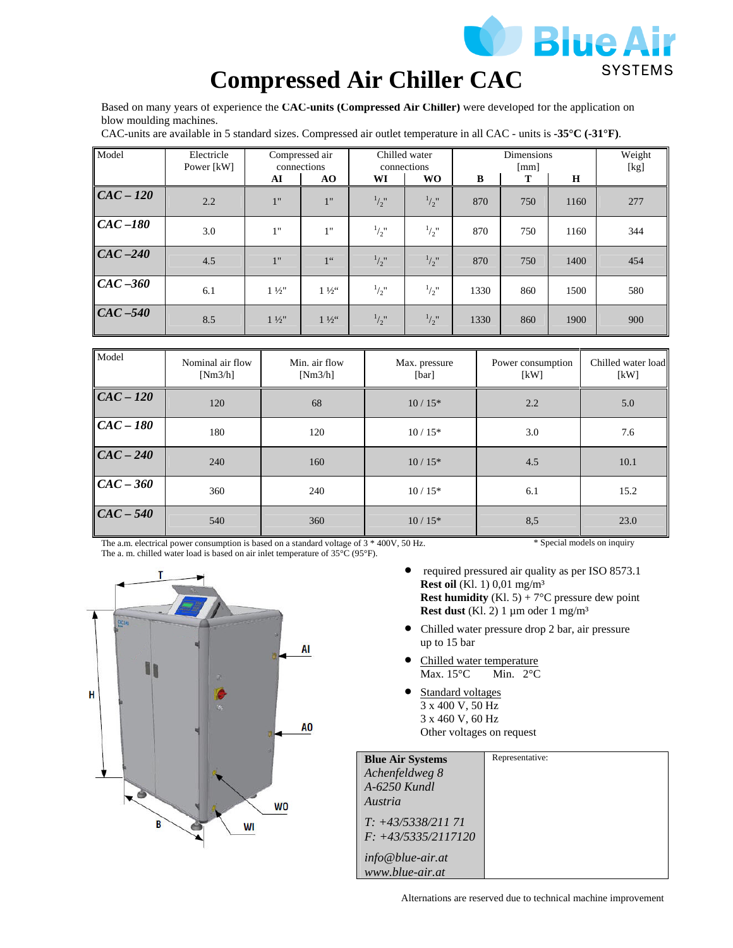

# **Compressed Air Chiller CAC**

Based on many years of experience the **CAC-units (Compressed Air Chiller)** were developed for the application on blow moulding machines.

CAC-units are available in 5 standard sizes. Compressed air outlet temperature in all CAC - units is **-35°C (-31°F)**.

| Model                        | Electricle<br>Power [kW] | connections    | Compressed air  |               | Chilled water<br>connections |      | <b>Dimensions</b><br>[mm] |      | Weight<br>[kg] |
|------------------------------|--------------------------|----------------|-----------------|---------------|------------------------------|------|---------------------------|------|----------------|
|                              |                          | AI             | AO              | WI            | <b>WO</b>                    | B    | т                         | Н    |                |
| $CAC-120$                    | 2.2                      | 1"             | 1"              | $^{1}/_{2}$ " | $^{1}/_{2}$ "                | 870  | 750                       | 1160 | 277            |
| $\vert\vert CAC - 180 \vert$ | 3.0                      | 1"             | 1"              | $^{1}/_{2}$ " | $^{1}/_{2}$ "                | 870  | 750                       | 1160 | 344            |
| $CAC - 240$                  | 4.5                      | 1"             | 1 <sup>66</sup> | $^{1}/_{2}$ " | $^{1}/_{2}$ "                | 870  | 750                       | 1400 | 454            |
| $CAC-360$                    | 6.1                      | $1\frac{1}{2}$ | $1\frac{1}{2}$  | $^{1}/_{2}$ " | $^{1}/_{2}$ "                | 1330 | 860                       | 1500 | 580            |
| $CAC - 540$                  | 8.5                      | $1\frac{1}{2}$ | $1\frac{1}{2}$  | $^{1}/_{2}$ " | $^{1}/_{2}$ "                | 1330 | 860                       | 1900 | 900            |

| Model       | Nominal air flow<br>[Nm3/h] | Min. air flow<br>[Nm3/h] | Max. pressure<br>[bar] | Power consumption<br>[kW] | Chilled water load<br>[kW] |
|-------------|-----------------------------|--------------------------|------------------------|---------------------------|----------------------------|
| $CAC - 120$ | 120                         | 68                       | $10/15*$               | 2.2                       | 5.0                        |
| $CAC-180$   | 180                         | 120                      | $10/15*$               | 3.0                       | 7.6                        |
| $CAC - 240$ | 240                         | 160                      | $10/15*$               | 4.5                       | 10.1                       |
| $CAC - 360$ | 360                         | 240                      | $10/15*$               | 6.1                       | 15.2                       |
| $CAC - 540$ | 540                         | 360                      | $10/15*$               | 8,5                       | 23.0                       |

The a.m. electrical power consumption is based on a standard voltage of 3 \* 400V, 50 Hz. The a. m. chilled water load is based on air inlet temperature of 35°C (95°F).

\* Special models on inquiry

- AI H A<sub>0</sub> **WO** R WI
- required pressured air quality as per ISO 8573.1 **Rest oil** (Kl. 1) 0,01 mg/m³ **Rest humidity** (Kl. 5) +  $7^{\circ}$ C pressure dew point **Rest dust** (Kl. 2) 1  $\mu$ m oder 1 mg/m<sup>3</sup>
- Chilled water pressure drop 2 bar, air pressure up to 15 bar
- Chilled water temperature<br>Max.  $15^{\circ}$ C Min.  $2^{\circ}$ C Max.  $15^{\circ}$ C
- Standard voltages 3 x 400 V, 50 Hz 3 x 460 V, 60 Hz Other voltages on request

| <b>Blue Air Systems</b> | Representative: |
|-------------------------|-----------------|
| Achenfeldweg 8          |                 |
| $A-6250$ Kundl          |                 |
| Austria                 |                 |
| $T: +43/5338/21171$     |                 |
| $F: +43/5335/2117120$   |                 |
| info@blue-air.at        |                 |
| www.blue-air.at         |                 |